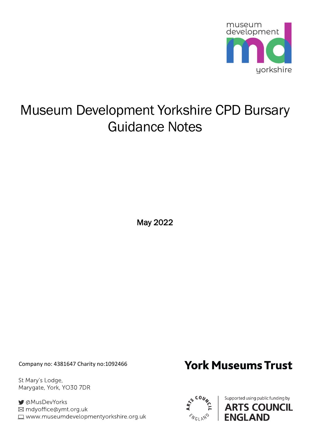

# Museum Development Yorkshire CPD Bursary Guidance Notes

May 2022

Company no: 4381647 Charity no:1092466

St Mary's Lodge, Marygate, York, YO30 7DR

■ aMusDevYorks ⊠ mdyoffice@ymt.org.uk www.museumdevelopmentyorkshire.org.uk

## **York Museums Trust**



Supported using public funding by **ARTS COUNCIL ENGLAND**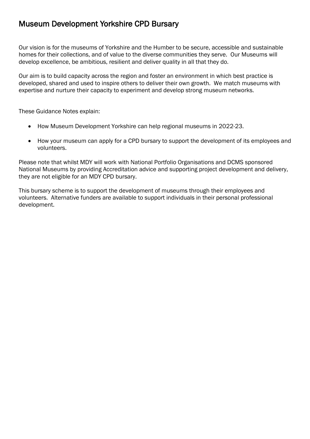### Museum Development Yorkshire CPD Bursary

Our vision is for the museums of Yorkshire and the Humber to be secure, accessible and sustainable homes for their collections, and of value to the diverse communities they serve. Our Museums will develop excellence, be ambitious, resilient and deliver quality in all that they do.

Our aim is to build capacity across the region and foster an environment in which best practice is developed, shared and used to inspire others to deliver their own growth. We match museums with expertise and nurture their capacity to experiment and develop strong museum networks.

These Guidance Notes explain:

- How Museum Development Yorkshire can help regional museums in 2022-23.
- How your museum can apply for a CPD bursary to support the development of its employees and volunteers.

Please note that whilst MDY will work with National Portfolio Organisations and DCMS sponsored National Museums by providing Accreditation advice and supporting project development and delivery, they are not eligible for an MDY CPD bursary.

This bursary scheme is to support the development of museums through their employees and volunteers. Alternative funders are available to support individuals in their personal professional development.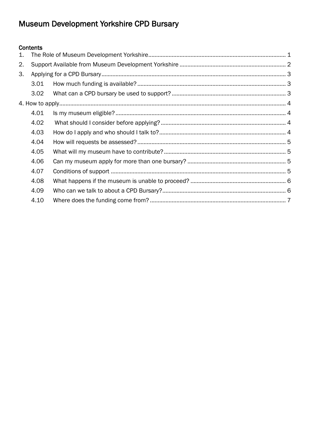## Museum Development Yorkshire CPD Bursary

#### Contents

| $\mathbf{1}$ . |      |  |  |
|----------------|------|--|--|
| 2.             |      |  |  |
| 3.             |      |  |  |
|                | 3.01 |  |  |
|                | 3.02 |  |  |
|                |      |  |  |
|                | 4.01 |  |  |
|                | 4.02 |  |  |
|                | 4.03 |  |  |
|                | 4.04 |  |  |
|                | 4.05 |  |  |
|                | 4.06 |  |  |
|                | 4.07 |  |  |
|                | 4.08 |  |  |
|                | 4.09 |  |  |
|                | 4.10 |  |  |
|                |      |  |  |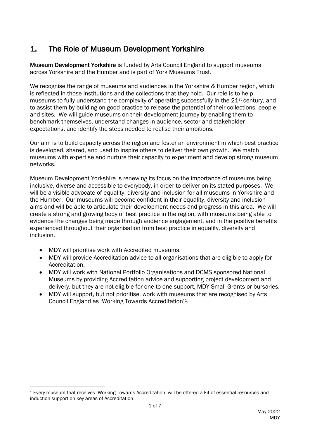## <span id="page-3-0"></span>1. The Role of Museum Development Yorkshire

Museum Development Yorkshire is funded by Arts Council England to support museums across Yorkshire and the Humber and is part of York Museums Trust.

We recognise the range of museums and audiences in the Yorkshire & Humber region, which is reflected in those institutions and the collections that they hold. Our role is to help museums to fully understand the complexity of operating successfully in the 21<sup>st</sup> century, and to assist them by building on good practice to release the potential of their collections, people and sites. We will guide museums on their development journey by enabling them to benchmark themselves, understand changes in audience, sector and stakeholder expectations, and identify the steps needed to realise their ambitions.

Our aim is to build capacity across the region and foster an environment in which best practice is developed, shared, and used to inspire others to deliver their own growth. We match museums with expertise and nurture their capacity to experiment and develop strong museum networks.

Museum Development Yorkshire is renewing its focus on the importance of museums being inclusive, diverse and accessible to everybody, in order to deliver on its stated purposes. We will be a visible advocate of equality, diversity and inclusion for all museums in Yorkshire and the Humber. Our museums will become confident in their equality, diversity and inclusion aims and will be able to articulate their development needs and progress in this area. We will create a strong and growing body of best practice in the region, with museums being able to evidence the changes being made through audience engagement, and in the positive benefits experienced throughout their organisation from best practice in equality, diversity and inclusion.

- MDY will prioritise work with Accredited museums.
- MDY will provide Accreditation advice to all organisations that are eligible to apply for Accreditation.
- MDY will work with National Portfolio Organisations and DCMS sponsored National Museums by providing Accreditation advice and supporting project development and delivery, but they are not eligible for one-to-one support, MDY Small Grants or bursaries.
- MDY will support, but not prioritise, work with museums that are recognised by Arts Council England as 'Working Towards Accreditation'1.

<sup>1</sup> Every museum that receives 'Working Towards Accreditation' will be offered a kit of essential resources and induction support on key areas of Accreditation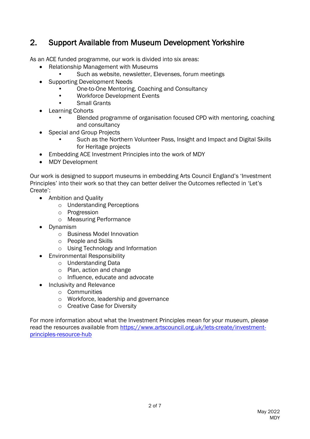## <span id="page-4-0"></span>2. Support Available from Museum Development Yorkshire

As an ACE funded programme, our work is divided into six areas:

- Relationship Management with Museums
	- Such as website, newsletter, Elevenses, forum meetings
- Supporting Development Needs
	- One-to-One Mentoring, Coaching and Consultancy
	- Workforce Development Events
	- Small Grants
- Learning Cohorts
	- Blended programme of organisation focused CPD with mentoring, coaching and consultancy
- Special and Group Projects
	- Such as the Northern Volunteer Pass, Insight and Impact and Digital Skills for Heritage projects
- Embedding ACE Investment Principles into the work of MDY
- MDY Development

Our work is designed to support museums in embedding Arts Council England's 'Investment Principles' into their work so that they can better deliver the Outcomes reflected in 'Let's Create':

- Ambition and Quality
	- o Understanding Perceptions
	- o Progression
	- o Measuring Performance
- Dynamism
	- o Business Model Innovation
	- o People and Skills
	- o Using Technology and Information
- Environmental Responsibility
	- o Understanding Data
	- o Plan, action and change
	- o Influence, educate and advocate
- Inclusivity and Relevance
	- o Communities
	- o Workforce, leadership and governance
	- o Creative Case for Diversity

For more information about what the Investment Principles mean for your museum, please read the resources available from [https://www.artscouncil.org.uk/lets-create/investment](https://www.artscouncil.org.uk/lets-create/investment-principles-resource-hub)[principles-resource-hub](https://www.artscouncil.org.uk/lets-create/investment-principles-resource-hub)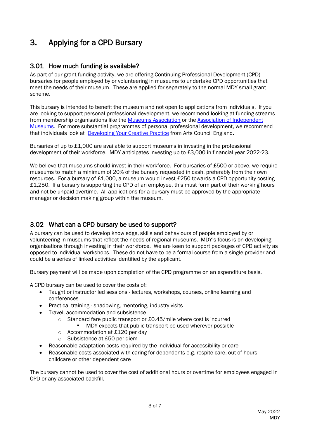## <span id="page-5-0"></span>3. Applying for a CPD Bursary

#### <span id="page-5-1"></span>3.01 How much funding is available?

As part of our grant funding activity, we are offering Continuing Professional Development (CPD) bursaries for people employed by or volunteering in museums to undertake CPD opportunities that meet the needs of their museum. These are applied for separately to the normal MDY small grant scheme.

This bursary is intended to benefit the museum and not open to applications from individuals. If you are looking to support personal professional development, we recommend looking at funding streams from membership organisations like the [Museums Association](https://www.museumsassociation.org/funding/benevolent-fund/) or the Association of Independent [Museums.](https://aim-museums.co.uk/for-aim-members/grants/aim-training-grants/) For more substantial programmes of personal professional development, we recommend that individuals look at [Developing Your Creative Practice](https://www.artscouncil.org.uk/DYCP) from Arts Council England.

Bursaries of up to £1,000 are available to support museums in investing in the professional development of their workforce. MDY anticipates investing up to £3,000 in financial year 2022-23.

We believe that museums should invest in their workforce. For bursaries of £500 or above, we require museums to match a minimum of 20% of the bursary requested in cash, preferably from their own resources. For a bursary of £1,000, a museum would invest £250 towards a CPD opportunity costing £1,250. If a bursary is supporting the CPD of an employee, this must form part of their working hours and not be unpaid overtime. All applications for a bursary must be approved by the appropriate manager or decision making group within the museum.

#### <span id="page-5-2"></span>3.02 What can a CPD bursary be used to support?

A bursary can be used to develop knowledge, skills and behaviours of people employed by or volunteering in museums that reflect the needs of regional museums. MDY's focus is on developing organisations through investing in their workforce. We are keen to support packages of CPD activity as opposed to individual workshops. These do not have to be a formal course from a single provider and could be a series of linked activities identified by the applicant.

Bursary payment will be made upon completion of the CPD programme on an expenditure basis.

A CPD bursary can be used to cover the costs of:

- Taught or instructor led sessions lectures, workshops, courses, online learning and conferences
- Practical training shadowing, mentoring, industry visits
- Travel, accommodation and subsistence
	- o Standard fare public transport or £0.45/mile where cost is incurred
		- MDY expects that public transport be used wherever possible
	- o Accommodation at £120 per day
	- o Subsistence at £50 per diem
- Reasonable adaptation costs required by the individual for accessibility or care
- Reasonable costs associated with caring for dependents e.g. respite care, out-of-hours childcare or other dependent care

The bursary cannot be used to cover the cost of additional hours or overtime for employees engaged in CPD or any associated backfill.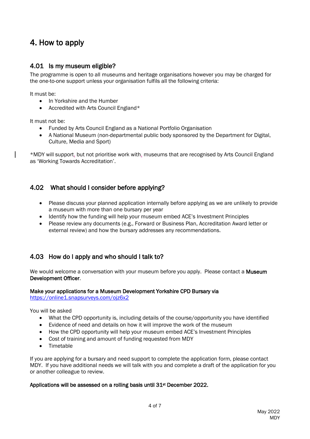## <span id="page-6-0"></span>4. How to apply

#### <span id="page-6-1"></span>4.01 Is my museum eligible?

The programme is open to all museums and heritage organisations however you may be charged for the one-to-one support unless your organisation fulfils all the following criteria:

It must be:

- In Yorkshire and the Humber
- Accredited with Arts Council England\*

It must not be:

- Funded by Arts Council England as a National Portfolio Organisation
- A National Museum (non-departmental public body sponsored by the Department for Digital, Culture, Media and Sport)

\*MDY will support, but not prioritise work with, museums that are recognised by Arts Council England as 'Working Towards Accreditation'.

#### <span id="page-6-2"></span>4.02 What should I consider before applying?

- Please discuss your planned application internally before applying as we are unlikely to provide a museum with more than one bursary per year
- Identify how the funding will help your museum embed ACE's Investment Principles
- Please review any documents (e.g., Forward or Business Plan, Accreditation Award letter or external review) and how the bursary addresses any recommendations.

#### <span id="page-6-3"></span>4.03 How do I apply and who should I talk to?

We would welcome a conversation with your museum before you apply. Please contact a Museum Development Officer.

#### Make your applications for a Museum Development Yorkshire CPD Bursary via

<https://online1.snapsurveys.com/ojz6x2>

You will be asked

- What the CPD opportunity is, including details of the course/opportunity you have identified
- Evidence of need and details on how it will improve the work of the museum
- How the CPD opportunity will help your museum embed ACE's Investment Principles
- Cost of training and amount of funding requested from MDY
- Timetable

If you are applying for a bursary and need support to complete the application form, please contact MDY. If you have additional needs we will talk with you and complete a draft of the application for you or another colleague to review.

#### Applications will be assessed on a rolling basis until 31<sup>st</sup> December 2022.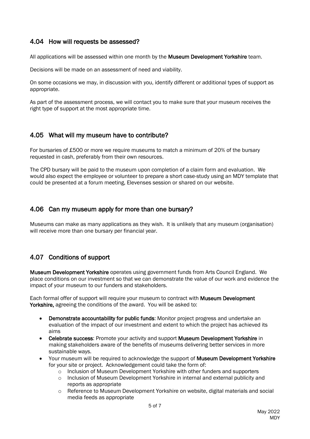#### <span id="page-7-0"></span>4.04 How will requests be assessed?

All applications will be assessed within one month by the Museum Development Yorkshire team.

Decisions will be made on an assessment of need and viability.

On some occasions we may, in discussion with you, identify different or additional types of support as appropriate.

As part of the assessment process, we will contact you to make sure that your museum receives the right type of support at the most appropriate time.

#### <span id="page-7-1"></span>4.05 What will my museum have to contribute?

For bursaries of £500 or more we require museums to match a minimum of 20% of the bursary requested in cash, preferably from their own resources.

The CPD bursary will be paid to the museum upon completion of a claim form and evaluation. We would also expect the employee or volunteer to prepare a short case-study using an MDY template that could be presented at a forum meeting, Elevenses session or shared on our website.

#### <span id="page-7-2"></span>4.06 Can my museum apply for more than one bursary?

Museums can make as many applications as they wish. It is unlikely that any museum (organisation) will receive more than one bursary per financial year.

#### <span id="page-7-3"></span>4.07 Conditions of support

Museum Development Yorkshire operates using government funds from Arts Council England. We place conditions on our investment so that we can demonstrate the value of our work and evidence the impact of your museum to our funders and stakeholders.

Each formal offer of support will require your museum to contract with Museum Development Yorkshire, agreeing the conditions of the award. You will be asked to:

- Demonstrate accountability for public funds: Monitor project progress and undertake an evaluation of the impact of our investment and extent to which the project has achieved its aims
- Celebrate success: Promote your activity and support Museum Development Yorkshire in making stakeholders aware of the benefits of museums delivering better services in more sustainable ways.
- Your museum will be required to acknowledge the support of **Museum Development Yorkshire** for your site or project. Acknowledgement could take the form of:
	- o Inclusion of Museum Development Yorkshire with other funders and supporters
	- o Inclusion of Museum Development Yorkshire in internal and external publicity and reports as appropriate
	- o Reference to Museum Development Yorkshire on website, digital materials and social media feeds as appropriate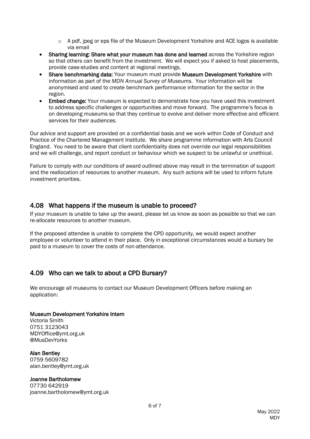- $\circ$  A pdf, jpeg or eps file of the Museum Development Yorkshire and ACE logos is available via email
- Sharing learning: Share what your museum has done and learned across the Yorkshire region so that others can benefit from the investment. We will expect you if asked to host placements, provide case-studies and content at regional meetings.
- Share benchmarking data: Your museum must provide Museum Development Yorkshire with information as part of the *MDN Annual Survey of Museums*. Your information will be anonymised and used to create benchmark performance information for the sector in the region.
- Embed change: Your museum is expected to demonstrate how you have used this investment to address specific challenges or opportunities and move forward. The programme's focus is on developing museums so that they continue to evolve and deliver more effective and efficient services for their audiences.

Our advice and support are provided on a confidential basis and we work within Code of Conduct and Practice of the Chartered Management Institute. We share programme information with Arts Council England. You need to be aware that client confidentiality does not override our legal responsibilities and we will challenge, and report conduct or behaviour which we suspect to be unlawful or unethical.

Failure to comply with our conditions of award outlined above may result in the termination of support and the reallocation of resources to another museum. Any such actions will be used to inform future investment priorities.

#### <span id="page-8-0"></span>4.08 What happens if the museum is unable to proceed?

If your museum is unable to take up the award, please let us know as soon as possible so that we can re-allocate resources to another museum.

If the proposed attendee is unable to complete the CPD opportunity, we would expect another employee or volunteer to attend in their place. Only in exceptional circumstances would a bursary be paid to a museum to cover the costs of non-attendance.

#### <span id="page-8-1"></span>4.09 Who can we talk to about a CPD Bursary?

We encourage all museums to contact our Museum Development Officers before making an application:

#### Museum Development Yorkshire Intern

Victoria Smith 0751 3123043 MDYOffice@ymt.org.uk @MusDevYorks

Alan Bentley 0759 5609782 alan.bentley@ymt.org.uk

#### Joanne Bartholomew

07730 642919 joanne.bartholomew@ymt.org.uk